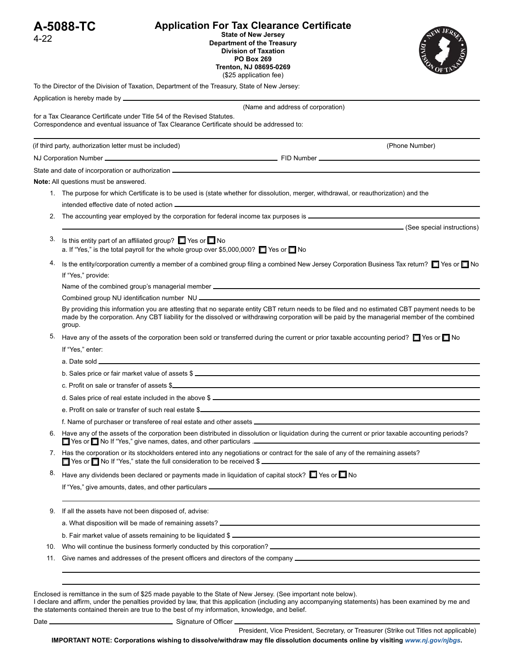|          | A-5088-TC                                                                                                               | <b>Application For Tax Clearance Certificate</b>                                                                                                                                                                                                                                               |                            |  |  |  |  |
|----------|-------------------------------------------------------------------------------------------------------------------------|------------------------------------------------------------------------------------------------------------------------------------------------------------------------------------------------------------------------------------------------------------------------------------------------|----------------------------|--|--|--|--|
| $4 - 22$ |                                                                                                                         | <b>State of New Jersey</b><br>Department of the Treasury<br><b>Division of Taxation</b><br><b>PO Box 269</b><br>Trenton, NJ 08695-0269<br>(\$25 application fee)                                                                                                                               |                            |  |  |  |  |
|          |                                                                                                                         | To the Director of the Division of Taxation, Department of the Treasury, State of New Jersey:                                                                                                                                                                                                  |                            |  |  |  |  |
|          |                                                                                                                         |                                                                                                                                                                                                                                                                                                |                            |  |  |  |  |
|          |                                                                                                                         | (Name and address of corporation)<br>for a Tax Clearance Certificate under Title 54 of the Revised Statutes.<br>Correspondence and eventual issuance of Tax Clearance Certificate should be addressed to:                                                                                      |                            |  |  |  |  |
|          | (if third party, authorization letter must be included)                                                                 |                                                                                                                                                                                                                                                                                                | (Phone Number)             |  |  |  |  |
|          |                                                                                                                         | NJ Corporation Number <u>experience and the control of the control of the Corporation Corporation Number experience of the control of the control of the control of the control of the control of the control of the control of </u>                                                           |                            |  |  |  |  |
|          |                                                                                                                         |                                                                                                                                                                                                                                                                                                |                            |  |  |  |  |
|          | <b>Note:</b> All questions must be answered.                                                                            |                                                                                                                                                                                                                                                                                                |                            |  |  |  |  |
|          |                                                                                                                         | 1. The purpose for which Certificate is to be used is (state whether for dissolution, merger, withdrawal, or reauthorization) and the                                                                                                                                                          |                            |  |  |  |  |
|          |                                                                                                                         | intended effective date of noted action <b>entity of the control of the control of the control of the control of the control of the control of the control of the control of the control of the control of the control of the co</b>                                                           |                            |  |  |  |  |
|          |                                                                                                                         |                                                                                                                                                                                                                                                                                                |                            |  |  |  |  |
|          |                                                                                                                         |                                                                                                                                                                                                                                                                                                | (See special instructions) |  |  |  |  |
| 3.       |                                                                                                                         | Is this entity part of an affiliated group? ■ Yes or ■ No<br>a. If "Yes," is the total payroll for the whole group over \$5,000,000? $\Box$ Yes or $\Box$ No                                                                                                                                   |                            |  |  |  |  |
| 4.       |                                                                                                                         | Is the entity/corporation currently a member of a combined group filing a combined New Jersey Corporation Business Tax return? ■ Yes or ■ No                                                                                                                                                   |                            |  |  |  |  |
|          | If "Yes," provide:                                                                                                      |                                                                                                                                                                                                                                                                                                |                            |  |  |  |  |
|          | Name of the combined group's managerial member <b>example and the control of the combined</b> group's managerial member |                                                                                                                                                                                                                                                                                                |                            |  |  |  |  |
|          |                                                                                                                         |                                                                                                                                                                                                                                                                                                |                            |  |  |  |  |
|          | group.                                                                                                                  | By providing this information you are attesting that no separate entity CBT return needs to be filed and no estimated CBT payment needs to be<br>made by the corporation. Any CBT liability for the dissolved or withdrawing corporation will be paid by the managerial member of the combined |                            |  |  |  |  |
| 5.       |                                                                                                                         | Have any of the assets of the corporation been sold or transferred during the current or prior taxable accounting period? $\Box$ Yes or $\Box$ No                                                                                                                                              |                            |  |  |  |  |
|          | If "Yes," enter:                                                                                                        |                                                                                                                                                                                                                                                                                                |                            |  |  |  |  |
|          |                                                                                                                         |                                                                                                                                                                                                                                                                                                |                            |  |  |  |  |
|          |                                                                                                                         |                                                                                                                                                                                                                                                                                                |                            |  |  |  |  |
|          |                                                                                                                         |                                                                                                                                                                                                                                                                                                |                            |  |  |  |  |
|          |                                                                                                                         | d. Sales price of real estate included in the above \$                                                                                                                                                                                                                                         |                            |  |  |  |  |
|          |                                                                                                                         |                                                                                                                                                                                                                                                                                                |                            |  |  |  |  |
|          |                                                                                                                         |                                                                                                                                                                                                                                                                                                |                            |  |  |  |  |
|          |                                                                                                                         | 6. Have any of the assets of the corporation been distributed in dissolution or liquidation during the current or prior taxable accounting periods?                                                                                                                                            |                            |  |  |  |  |
|          |                                                                                                                         | 7. Has the corporation or its stockholders entered into any negotiations or contract for the sale of any of the remaining assets?<br>T Yes or T No If "Yes," state the full consideration to be received \$                                                                                    |                            |  |  |  |  |
| 8.       |                                                                                                                         | Have any dividends been declared or payments made in liquidation of capital stock? $\Box$ Yes or $\Box$ No                                                                                                                                                                                     |                            |  |  |  |  |
|          |                                                                                                                         |                                                                                                                                                                                                                                                                                                |                            |  |  |  |  |
| 9.       |                                                                                                                         | If all the assets have not been disposed of, advise:                                                                                                                                                                                                                                           |                            |  |  |  |  |
|          |                                                                                                                         |                                                                                                                                                                                                                                                                                                |                            |  |  |  |  |
|          |                                                                                                                         |                                                                                                                                                                                                                                                                                                |                            |  |  |  |  |
| 10.      |                                                                                                                         |                                                                                                                                                                                                                                                                                                |                            |  |  |  |  |
| 11.      |                                                                                                                         |                                                                                                                                                                                                                                                                                                |                            |  |  |  |  |
|          |                                                                                                                         |                                                                                                                                                                                                                                                                                                |                            |  |  |  |  |
|          |                                                                                                                         |                                                                                                                                                                                                                                                                                                |                            |  |  |  |  |
|          |                                                                                                                         | Enclosed is remittance in the sum of \$25 made payable to the State of New Jersey. (See important note below).                                                                                                                                                                                 |                            |  |  |  |  |

I declare and affirm, under the penalties provided by law, that this application (including any accompanying statements) has been examined by me and the statements contained therein are true to the best of my information, knowledge, and belief.

Date Signature of Officer

President, Vice President, Secretary, or Treasurer (Strike out Titles not applicable) **IMPORTANT NOTE: Corporations wishing to dissolve/withdraw may file dissolution documents online by visiting** *<www.nj.gov/njbgs>***.**